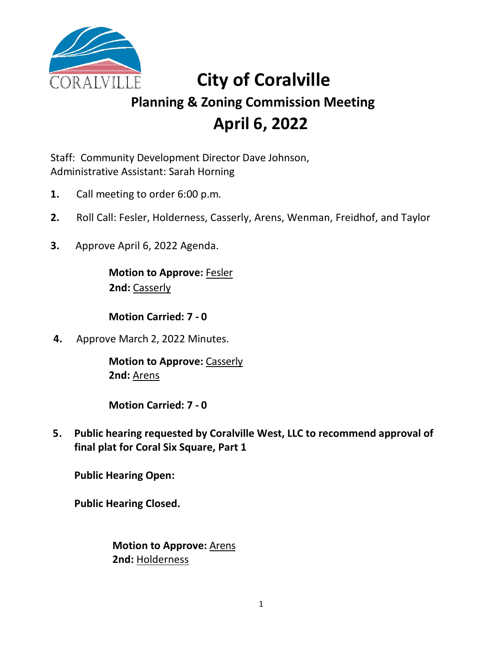

# **City of Coralville Planning & Zoning Commission Meeting April 6, 2022**

Staff: Community Development Director Dave Johnson, Administrative Assistant: Sarah Horning

- **1.** Call meeting to order 6:00 p.m.
- **2.** Roll Call: Fesler, Holderness, Casserly, Arens, Wenman, Freidhof, and Taylor
- **3.** Approve April 6, 2022 Agenda.

**Motion to Approve:** Fesler **2nd:** Casserly

**Motion Carried: 7 - 0**

**4.** Approve March 2, 2022 Minutes.

**Motion to Approve:** Casserly **2nd:** Arens

**Motion Carried: 7 - 0**

**5. Public hearing requested by Coralville West, LLC to recommend approval of final plat for Coral Six Square, Part 1**

**Public Hearing Open:**

**Public Hearing Closed.**

**Motion to Approve:** Arens **2nd:** Holderness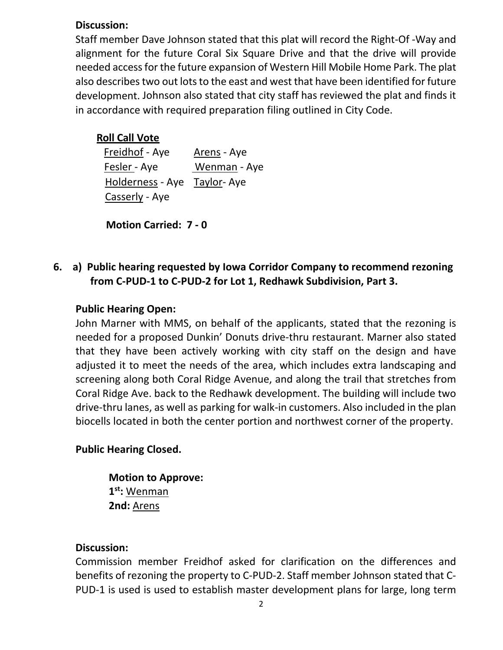## **Discussion:**

Staff member Dave Johnson stated that this plat will record the Right-Of -Way and alignment for the future Coral Six Square Drive and that the drive will provide needed access for the future expansion of Western Hill Mobile Home Park. The plat also describes two out lots to the east and west that have been identified for future development. Johnson also stated that city staff has reviewed the plat and finds it in accordance with required preparation filing outlined in City Code.

# **Roll Call Vote**

Freidhof - Aye Arens - Aye Fesler - Aye Wenman - Aye Holderness - Aye Taylor- Aye Casserly - Aye

**Motion Carried: 7 - 0**

**6. a) Public hearing requested by Iowa Corridor Company to recommend rezoning from C-PUD-1 to C-PUD-2 for Lot 1, Redhawk Subdivision, Part 3.**

# **Public Hearing Open:**

John Marner with MMS, on behalf of the applicants, stated that the rezoning is needed for a proposed Dunkin' Donuts drive-thru restaurant. Marner also stated that they have been actively working with city staff on the design and have adjusted it to meet the needs of the area, which includes extra landscaping and screening along both Coral Ridge Avenue, and along the trail that stretches from Coral Ridge Ave. back to the Redhawk development. The building will include two drive-thru lanes, as well as parking for walk-in customers. Also included in the plan biocells located in both the center portion and northwest corner of the property.

# **Public Hearing Closed.**

**Motion to Approve: 1st:** Wenman **2nd:** Arens

# **Discussion:**

Commission member Freidhof asked for clarification on the differences and benefits of rezoning the property to C-PUD-2. Staff member Johnson stated that C-PUD-1 is used is used to establish master development plans for large, long term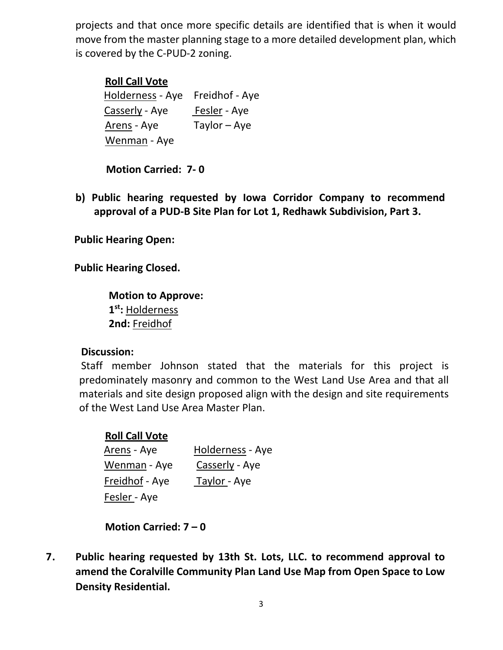projects and that once more specific details are identified that is when it would move from the master planning stage to a more detailed development plan, which is covered by the C-PUD-2 zoning.

## **Roll Call Vote**

Holderness - Aye Freidhof - Aye Casserly - Aye Fesler - Aye Arens - Aye Taylor – Aye Wenman - Aye

**Motion Carried: 7- 0**

**b) Public hearing requested by Iowa Corridor Company to recommend approval of a PUD-B Site Plan for Lot 1, Redhawk Subdivision, Part 3.**

**Public Hearing Open:**

**Public Hearing Closed.**

**Motion to Approve: 1st:** Holderness **2nd:** Freidhof

#### **Discussion:**

Staff member Johnson stated that the materials for this project is predominately masonry and common to the West Land Use Area and that all materials and site design proposed align with the design and site requirements of the West Land Use Area Master Plan.

## **Roll Call Vote**

| <u>Arens</u> - Aye  | Holderness - Aye     |
|---------------------|----------------------|
| Wenman - Aye        | Casserly - Aye       |
| Freidhof - Aye      | <u> Taylor -</u> Aye |
| <u>Fesler -</u> Aye |                      |

**Motion Carried: 7 – 0**

**7. Public hearing requested by 13th St. Lots, LLC. to recommend approval to amend the Coralville Community Plan Land Use Map from Open Space to Low Density Residential.**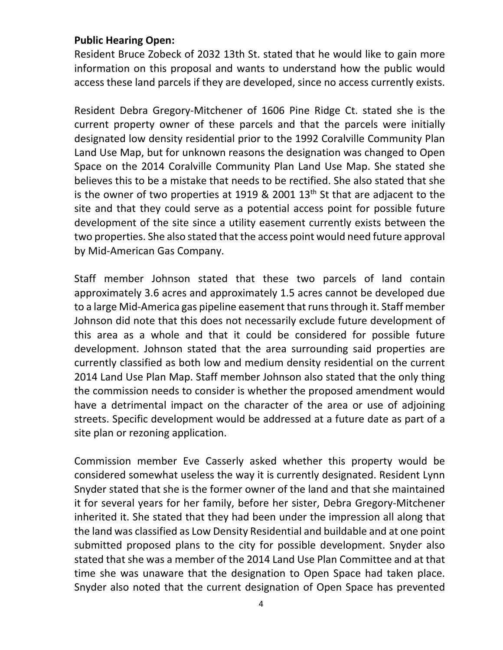## **Public Hearing Open:**

Resident Bruce Zobeck of 2032 13th St. stated that he would like to gain more information on this proposal and wants to understand how the public would access these land parcels if they are developed, since no access currently exists.

Resident Debra Gregory-Mitchener of 1606 Pine Ridge Ct. stated she is the current property owner of these parcels and that the parcels were initially designated low density residential prior to the 1992 Coralville Community Plan Land Use Map, but for unknown reasons the designation was changed to Open Space on the 2014 Coralville Community Plan Land Use Map. She stated she believes this to be a mistake that needs to be rectified. She also stated that she is the owner of two properties at 1919  $\&$  2001 13<sup>th</sup> St that are adjacent to the site and that they could serve as a potential access point for possible future development of the site since a utility easement currently exists between the two properties. She also stated that the access point would need future approval by Mid-American Gas Company.

Staff member Johnson stated that these two parcels of land contain approximately 3.6 acres and approximately 1.5 acres cannot be developed due to a large Mid-America gas pipeline easement that runs through it. Staff member Johnson did note that this does not necessarily exclude future development of this area as a whole and that it could be considered for possible future development. Johnson stated that the area surrounding said properties are currently classified as both low and medium density residential on the current 2014 Land Use Plan Map. Staff member Johnson also stated that the only thing the commission needs to consider is whether the proposed amendment would have a detrimental impact on the character of the area or use of adjoining streets. Specific development would be addressed at a future date as part of a site plan or rezoning application.

Commission member Eve Casserly asked whether this property would be considered somewhat useless the way it is currently designated. Resident Lynn Snyder stated that she is the former owner of the land and that she maintained it for several years for her family, before her sister, Debra Gregory-Mitchener inherited it. She stated that they had been under the impression all along that the land was classified as Low Density Residential and buildable and at one point submitted proposed plans to the city for possible development. Snyder also stated that she was a member of the 2014 Land Use Plan Committee and at that time she was unaware that the designation to Open Space had taken place. Snyder also noted that the current designation of Open Space has prevented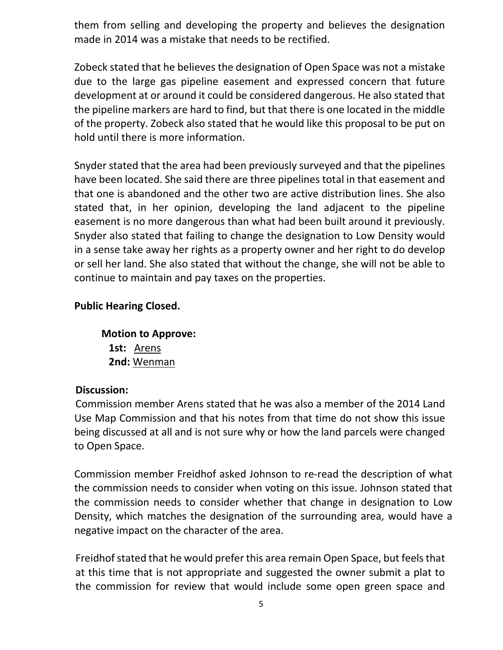them from selling and developing the property and believes the designation made in 2014 was a mistake that needs to be rectified.

Zobeck stated that he believes the designation of Open Space was not a mistake due to the large gas pipeline easement and expressed concern that future development at or around it could be considered dangerous. He also stated that the pipeline markers are hard to find, but that there is one located in the middle of the property. Zobeck also stated that he would like this proposal to be put on hold until there is more information.

Snyder stated that the area had been previously surveyed and that the pipelines have been located. She said there are three pipelines total in that easement and that one is abandoned and the other two are active distribution lines. She also stated that, in her opinion, developing the land adjacent to the pipeline easement is no more dangerous than what had been built around it previously. Snyder also stated that failing to change the designation to Low Density would in a sense take away her rights as a property owner and her right to do develop or sell her land. She also stated that without the change, she will not be able to continue to maintain and pay taxes on the properties.

# **Public Hearing Closed.**

**Motion to Approve: 1st:** Arens **2nd:** Wenman

## **Discussion:**

Commission member Arens stated that he was also a member of the 2014 Land Use Map Commission and that his notes from that time do not show this issue being discussed at all and is not sure why or how the land parcels were changed to Open Space.

Commission member Freidhof asked Johnson to re-read the description of what the commission needs to consider when voting on this issue. Johnson stated that the commission needs to consider whether that change in designation to Low Density, which matches the designation of the surrounding area, would have a negative impact on the character of the area.

Freidhof stated that he would prefer this area remain Open Space, but feels that at this time that is not appropriate and suggested the owner submit a plat to the commission for review that would include some open green space and